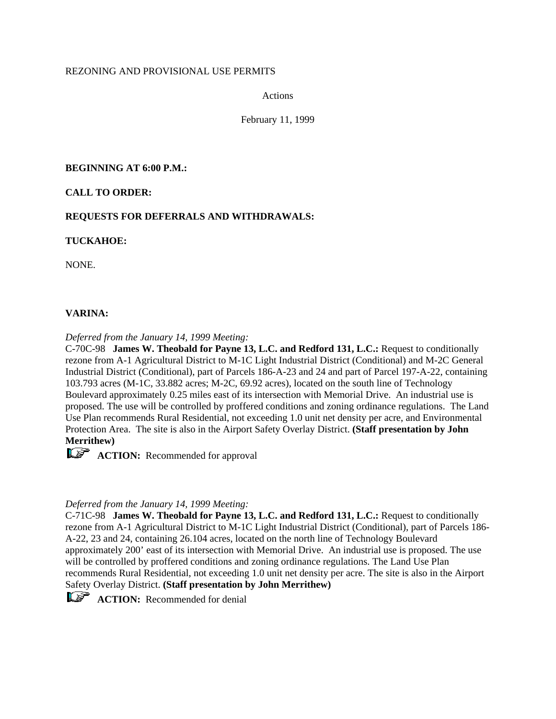# REZONING AND PROVISIONAL USE PERMITS

Actions

February 11, 1999

# **BEGINNING AT 6:00 P.M.:**

# **CALL TO ORDER:**

# **REQUESTS FOR DEFERRALS AND WITHDRAWALS:**

# **TUCKAHOE:**

NONE.

# **VARINA:**

*Deferred from the January 14, 1999 Meeting:*

C-70C-98 **James W. Theobald for Payne 13, L.C. and Redford 131, L.C.:** Request to conditionally rezone from A-1 Agricultural District to M-1C Light Industrial District (Conditional) and M-2C General Industrial District (Conditional), part of Parcels 186-A-23 and 24 and part of Parcel 197-A-22, containing 103.793 acres (M-1C, 33.882 acres; M-2C, 69.92 acres), located on the south line of Technology Boulevard approximately 0.25 miles east of its intersection with Memorial Drive. An industrial use is proposed. The use will be controlled by proffered conditions and zoning ordinance regulations. The Land Use Plan recommends Rural Residential, not exceeding 1.0 unit net density per acre, and Environmental Protection Area. The site is also in the Airport Safety Overlay District. **(Staff presentation by John Merrithew)**

**ACTION:** Recommended for approval

# *Deferred from the January 14, 1999 Meeting:*

C-71C-98 **James W. Theobald for Payne 13, L.C. and Redford 131, L.C.:** Request to conditionally rezone from A-1 Agricultural District to M-1C Light Industrial District (Conditional), part of Parcels 186- A-22, 23 and 24, containing 26.104 acres, located on the north line of Technology Boulevard approximately 200' east of its intersection with Memorial Drive. An industrial use is proposed. The use will be controlled by proffered conditions and zoning ordinance regulations. The Land Use Plan recommends Rural Residential, not exceeding 1.0 unit net density per acre. The site is also in the Airport Safety Overlay District. **(Staff presentation by John Merrithew)**



**ACTION:** Recommended for denial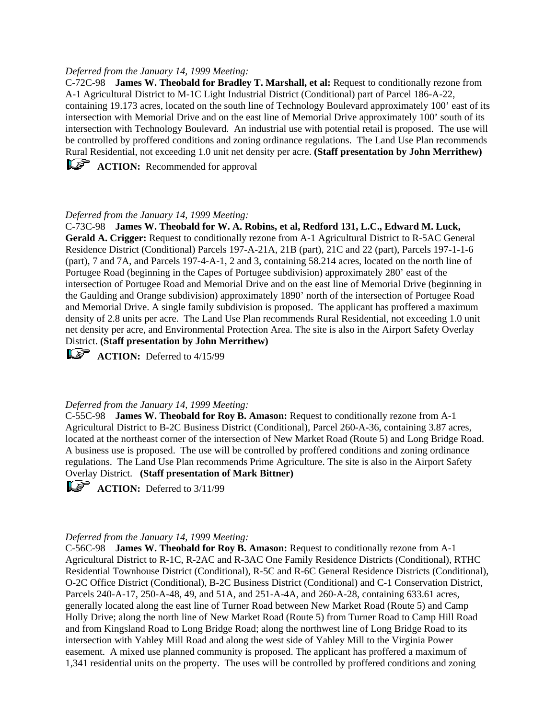### *Deferred from the January 14, 1999 Meeting:*

C-72C-98 **James W. Theobald for Bradley T. Marshall, et al:** Request to conditionally rezone from A-1 Agricultural District to M-1C Light Industrial District (Conditional) part of Parcel 186-A-22, containing 19.173 acres, located on the south line of Technology Boulevard approximately 100' east of its intersection with Memorial Drive and on the east line of Memorial Drive approximately 100' south of its intersection with Technology Boulevard. An industrial use with potential retail is proposed. The use will be controlled by proffered conditions and zoning ordinance regulations. The Land Use Plan recommends Rural Residential, not exceeding 1.0 unit net density per acre. **(Staff presentation by John Merrithew)**

**ACTION:** Recommended for approval

# *Deferred from the January 14, 1999 Meeting:*

C-73C-98 **James W. Theobald for W. A. Robins, et al, Redford 131, L.C., Edward M. Luck, Gerald A. Crigger:** Request to conditionally rezone from A-1 Agricultural District to R-5AC General Residence District (Conditional) Parcels 197-A-21A, 21B (part), 21C and 22 (part), Parcels 197-1-1-6 (part), 7 and 7A, and Parcels 197-4-A-1, 2 and 3, containing 58.214 acres, located on the north line of Portugee Road (beginning in the Capes of Portugee subdivision) approximately 280' east of the intersection of Portugee Road and Memorial Drive and on the east line of Memorial Drive (beginning in the Gaulding and Orange subdivision) approximately 1890' north of the intersection of Portugee Road and Memorial Drive. A single family subdivision is proposed. The applicant has proffered a maximum density of 2.8 units per acre. The Land Use Plan recommends Rural Residential, not exceeding 1.0 unit net density per acre, and Environmental Protection Area. The site is also in the Airport Safety Overlay District. **(Staff presentation by John Merrithew)**

 $\widehat{\mathbb{R}\mathbb{F}}$  **ACTION:** Deferred to 4/15/99

### *Deferred from the January 14, 1999 Meeting:*

C-55C-98 **James W. Theobald for Roy B. Amason:** Request to conditionally rezone from A-1 Agricultural District to B-2C Business District (Conditional), Parcel 260-A-36, containing 3.87 acres, located at the northeast corner of the intersection of New Market Road (Route 5) and Long Bridge Road. A business use is proposed. The use will be controlled by proffered conditions and zoning ordinance regulations. The Land Use Plan recommends Prime Agriculture. The site is also in the Airport Safety Overlay District. **(Staff presentation of Mark Bittner)**

 $\mathbf{A}\mathbf{C}$  **ACTION:** Deferred to  $3/11/99$ 

### *Deferred from the January 14, 1999 Meeting:*

C-56C-98 **James W. Theobald for Roy B. Amason:** Request to conditionally rezone from A-1 Agricultural District to R-1C, R-2AC and R-3AC One Family Residence Districts (Conditional), RTHC Residential Townhouse District (Conditional), R-5C and R-6C General Residence Districts (Conditional), O-2C Office District (Conditional), B-2C Business District (Conditional) and C-1 Conservation District, Parcels 240-A-17, 250-A-48, 49, and 51A, and 251-A-4A, and 260-A-28, containing 633.61 acres, generally located along the east line of Turner Road between New Market Road (Route 5) and Camp Holly Drive; along the north line of New Market Road (Route 5) from Turner Road to Camp Hill Road and from Kingsland Road to Long Bridge Road; along the northwest line of Long Bridge Road to its intersection with Yahley Mill Road and along the west side of Yahley Mill to the Virginia Power easement. A mixed use planned community is proposed. The applicant has proffered a maximum of 1,341 residential units on the property. The uses will be controlled by proffered conditions and zoning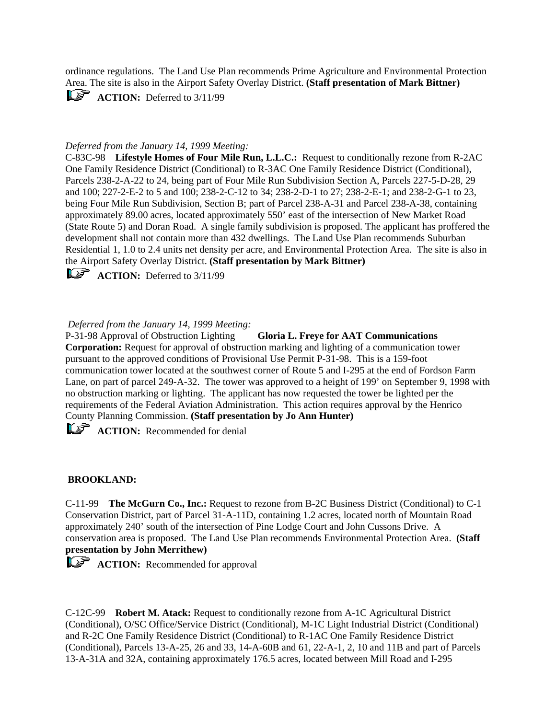ordinance regulations. The Land Use Plan recommends Prime Agriculture and Environmental Protection Area. The site is also in the Airport Safety Overlay District. **(Staff presentation of Mark Bittner)**

 $\mathbb{L}\mathbb{S}^{\mathbb{R}}$  **ACTION:** Deferred to 3/11/99

## *Deferred from the January 14, 1999 Meeting:*

C-83C-98 **Lifestyle Homes of Four Mile Run, L.L.C.:** Request to conditionally rezone from R-2AC One Family Residence District (Conditional) to R-3AC One Family Residence District (Conditional), Parcels 238-2-A-22 to 24, being part of Four Mile Run Subdivision Section A, Parcels 227-5-D-28, 29 and 100; 227-2-E-2 to 5 and 100; 238-2-C-12 to 34; 238-2-D-1 to 27; 238-2-E-1; and 238-2-G-1 to 23, being Four Mile Run Subdivision, Section B; part of Parcel 238-A-31 and Parcel 238-A-38, containing approximately 89.00 acres, located approximately 550' east of the intersection of New Market Road (State Route 5) and Doran Road. A single family subdivision is proposed. The applicant has proffered the development shall not contain more than 432 dwellings. The Land Use Plan recommends Suburban Residential 1, 1.0 to 2.4 units net density per acre, and Environmental Protection Area. The site is also in the Airport Safety Overlay District. **(Staff presentation by Mark Bittner)**

**ACTION:** Deferred to 3/11/99

## *Deferred from the January 14, 1999 Meeting:*

P-31-98 Approval of Obstruction Lighting **Gloria L. Freye for AAT Communications Corporation:** Request for approval of obstruction marking and lighting of a communication tower pursuant to the approved conditions of Provisional Use Permit P-31-98. This is a 159-foot communication tower located at the southwest corner of Route 5 and I-295 at the end of Fordson Farm Lane, on part of parcel 249-A-32. The tower was approved to a height of 199' on September 9, 1998 with no obstruction marking or lighting. The applicant has now requested the tower be lighted per the requirements of the Federal Aviation Administration. This action requires approval by the Henrico County Planning Commission. **(Staff presentation by Jo Ann Hunter)**

**ACTION:** Recommended for denial

## **BROOKLAND:**

C-11-99 **The McGurn Co., Inc.:** Request to rezone from B-2C Business District (Conditional) to C-1 Conservation District, part of Parcel 31-A-11D, containing 1.2 acres, located north of Mountain Road approximately 240' south of the intersection of Pine Lodge Court and John Cussons Drive. A conservation area is proposed. The Land Use Plan recommends Environmental Protection Area. **(Staff presentation by John Merrithew)**

**ACTION:** Recommended for approval

C-12C-99 **Robert M. Atack:** Request to conditionally rezone from A-1C Agricultural District (Conditional), O/SC Office/Service District (Conditional), M-1C Light Industrial District (Conditional) and R-2C One Family Residence District (Conditional) to R-1AC One Family Residence District (Conditional), Parcels 13-A-25, 26 and 33, 14-A-60B and 61, 22-A-1, 2, 10 and 11B and part of Parcels 13-A-31A and 32A, containing approximately 176.5 acres, located between Mill Road and I-295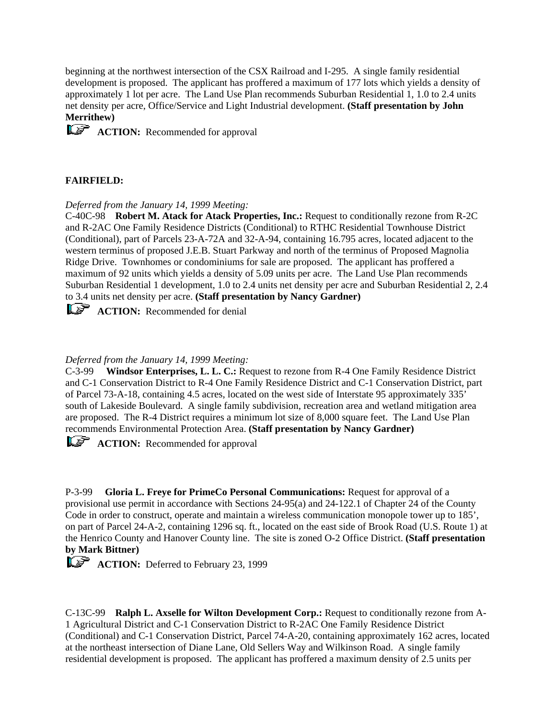beginning at the northwest intersection of the CSX Railroad and I-295. A single family residential development is proposed. The applicant has proffered a maximum of 177 lots which yields a density of approximately 1 lot per acre. The Land Use Plan recommends Suburban Residential 1, 1.0 to 2.4 units net density per acre, Office/Service and Light Industrial development. **(Staff presentation by John Merrithew)**

**ACTION:** Recommended for approval

# **FAIRFIELD:**

*Deferred from the January 14, 1999 Meeting:*

C-40C-98 **Robert M. Atack for Atack Properties, Inc.:** Request to conditionally rezone from R-2C and R-2AC One Family Residence Districts (Conditional) to RTHC Residential Townhouse District (Conditional), part of Parcels 23-A-72A and 32-A-94, containing 16.795 acres, located adjacent to the western terminus of proposed J.E.B. Stuart Parkway and north of the terminus of Proposed Magnolia Ridge Drive. Townhomes or condominiums for sale are proposed. The applicant has proffered a maximum of 92 units which yields a density of 5.09 units per acre. The Land Use Plan recommends Suburban Residential 1 development, 1.0 to 2.4 units net density per acre and Suburban Residential 2, 2.4 to 3.4 units net density per acre. **(Staff presentation by Nancy Gardner)**

**ACTION:** Recommended for denial

# *Deferred from the January 14, 1999 Meeting:*

C-3-99 **Windsor Enterprises, L. L. C.:** Request to rezone from R-4 One Family Residence District and C-1 Conservation District to R-4 One Family Residence District and C-1 Conservation District, part of Parcel 73-A-18, containing 4.5 acres, located on the west side of Interstate 95 approximately 335' south of Lakeside Boulevard. A single family subdivision, recreation area and wetland mitigation area are proposed. The R-4 District requires a minimum lot size of 8,000 square feet. The Land Use Plan recommends Environmental Protection Area. **(Staff presentation by Nancy Gardner)**

**ACTION:** Recommended for approval

P-3-99 **Gloria L. Freye for PrimeCo Personal Communications:** Request for approval of a provisional use permit in accordance with Sections 24-95(a) and 24-122.1 of Chapter 24 of the County Code in order to construct, operate and maintain a wireless communication monopole tower up to 185'. on part of Parcel 24-A-2, containing 1296 sq. ft., located on the east side of Brook Road (U.S. Route 1) at the Henrico County and Hanover County line. The site is zoned O-2 Office District. **(Staff presentation by Mark Bittner)**

**ACTION:** Deferred to February 23, 1999

C-13C-99 **Ralph L. Axselle for Wilton Development Corp.:** Request to conditionally rezone from A-1 Agricultural District and C-1 Conservation District to R-2AC One Family Residence District (Conditional) and C-1 Conservation District, Parcel 74-A-20, containing approximately 162 acres, located at the northeast intersection of Diane Lane, Old Sellers Way and Wilkinson Road. A single family residential development is proposed. The applicant has proffered a maximum density of 2.5 units per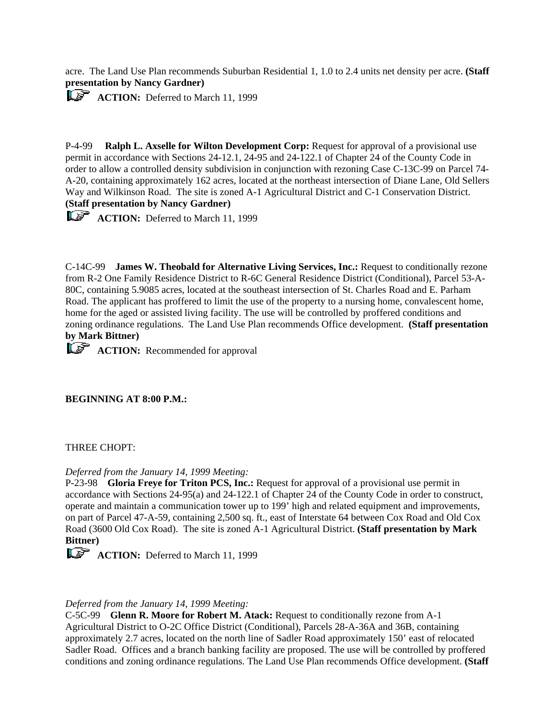acre. The Land Use Plan recommends Suburban Residential 1, 1.0 to 2.4 units net density per acre. **(Staff presentation by Nancy Gardner)**

**ACTION:** Deferred to March 11, 1999

P-4-99 **Ralph L. Axselle for Wilton Development Corp:** Request for approval of a provisional use permit in accordance with Sections 24-12.1, 24-95 and 24-122.1 of Chapter 24 of the County Code in order to allow a controlled density subdivision in conjunction with rezoning Case C-13C-99 on Parcel 74- A-20, containing approximately 162 acres, located at the northeast intersection of Diane Lane, Old Sellers Way and Wilkinson Road. The site is zoned A-1 Agricultural District and C-1 Conservation District. **(Staff presentation by Nancy Gardner)**

**ACTION:** Deferred to March 11, 1999

C-14C-99 **James W. Theobald for Alternative Living Services, Inc.:** Request to conditionally rezone from R-2 One Family Residence District to R-6C General Residence District (Conditional), Parcel 53-A-80C, containing 5.9085 acres, located at the southeast intersection of St. Charles Road and E. Parham Road. The applicant has proffered to limit the use of the property to a nursing home, convalescent home, home for the aged or assisted living facility. The use will be controlled by proffered conditions and zoning ordinance regulations. The Land Use Plan recommends Office development. **(Staff presentation by Mark Bittner)**

**ACTION:** Recommended for approval

## **BEGINNING AT 8:00 P.M.:**

### THREE CHOPT:

### *Deferred from the January 14, 1999 Meeting:*

P-23-98 **Gloria Freye for Triton PCS, Inc.:** Request for approval of a provisional use permit in accordance with Sections 24-95(a) and 24-122.1 of Chapter 24 of the County Code in order to construct, operate and maintain a communication tower up to 199' high and related equipment and improvements, on part of Parcel 47-A-59, containing 2,500 sq. ft., east of Interstate 64 between Cox Road and Old Cox Road (3600 Old Cox Road). The site is zoned A-1 Agricultural District. **(Staff presentation by Mark Bittner)**

**ACTION:** Deferred to March 11, 1999

## *Deferred from the January 14, 1999 Meeting:*

C-5C-99 **Glenn R. Moore for Robert M. Atack:** Request to conditionally rezone from A-1 Agricultural District to O-2C Office District (Conditional), Parcels 28-A-36A and 36B, containing approximately 2.7 acres, located on the north line of Sadler Road approximately 150' east of relocated Sadler Road. Offices and a branch banking facility are proposed. The use will be controlled by proffered conditions and zoning ordinance regulations. The Land Use Plan recommends Office development. **(Staff**